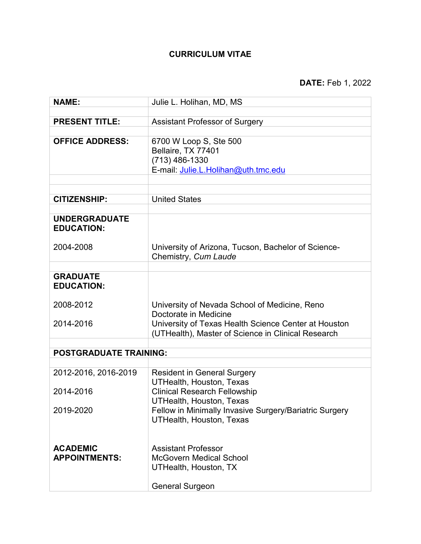# **CURRICULUM VITAE**

| <b>NAME:</b>                              | Julie L. Holihan, MD, MS                                                                  |
|-------------------------------------------|-------------------------------------------------------------------------------------------|
|                                           |                                                                                           |
| <b>PRESENT TITLE:</b>                     | <b>Assistant Professor of Surgery</b>                                                     |
|                                           |                                                                                           |
| <b>OFFICE ADDRESS:</b>                    | 6700 W Loop S, Ste 500                                                                    |
|                                           | Bellaire, TX 77401                                                                        |
|                                           | $(713)$ 486-1330                                                                          |
|                                           | E-mail: Julie.L.Holihan@uth.tmc.edu                                                       |
|                                           |                                                                                           |
|                                           |                                                                                           |
| <b>CITIZENSHIP:</b>                       | <b>United States</b>                                                                      |
|                                           |                                                                                           |
| <b>UNDERGRADUATE</b><br><b>EDUCATION:</b> |                                                                                           |
|                                           |                                                                                           |
| 2004-2008                                 | University of Arizona, Tucson, Bachelor of Science-                                       |
|                                           | Chemistry, Cum Laude                                                                      |
| <b>GRADUATE</b>                           |                                                                                           |
| <b>EDUCATION:</b>                         |                                                                                           |
|                                           |                                                                                           |
| 2008-2012                                 | University of Nevada School of Medicine, Reno                                             |
|                                           | Doctorate in Medicine                                                                     |
| 2014-2016                                 | University of Texas Health Science Center at Houston                                      |
|                                           | (UTHealth), Master of Science in Clinical Research                                        |
|                                           |                                                                                           |
| <b>POSTGRADUATE TRAINING:</b>             |                                                                                           |
|                                           |                                                                                           |
| 2012-2016, 2016-2019                      | <b>Resident in General Surgery</b>                                                        |
|                                           | <b>UTHealth, Houston, Texas</b>                                                           |
| 2014-2016                                 | <b>Clinical Research Fellowship</b>                                                       |
| 2019-2020                                 | <b>UTHealth, Houston, Texas</b>                                                           |
|                                           | Fellow in Minimally Invasive Surgery/Bariatric Surgery<br><b>UTHealth, Houston, Texas</b> |
|                                           |                                                                                           |
|                                           |                                                                                           |
| <b>ACADEMIC</b>                           | <b>Assistant Professor</b>                                                                |
| <b>APPOINTMENTS:</b>                      | <b>McGovern Medical School</b>                                                            |
|                                           | <b>UTHealth, Houston, TX</b>                                                              |
|                                           |                                                                                           |
|                                           | <b>General Surgeon</b>                                                                    |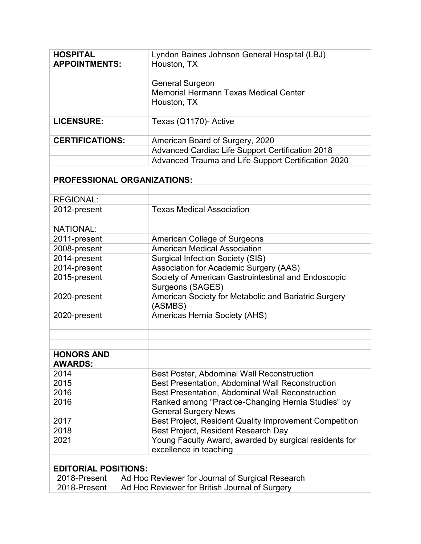| <b>HOSPITAL</b>                                                                                 | Lyndon Baines Johnson General Hospital (LBJ)                                      |  |
|-------------------------------------------------------------------------------------------------|-----------------------------------------------------------------------------------|--|
| <b>APPOINTMENTS:</b>                                                                            | Houston, TX                                                                       |  |
|                                                                                                 | <b>General Surgeon</b>                                                            |  |
|                                                                                                 | <b>Memorial Hermann Texas Medical Center</b>                                      |  |
|                                                                                                 | Houston, TX                                                                       |  |
| <b>LICENSURE:</b>                                                                               | Texas (Q1170)- Active                                                             |  |
| <b>CERTIFICATIONS:</b>                                                                          | American Board of Surgery, 2020                                                   |  |
|                                                                                                 | Advanced Cardiac Life Support Certification 2018                                  |  |
|                                                                                                 | Advanced Trauma and Life Support Certification 2020                               |  |
| <b>PROFESSIONAL ORGANIZATIONS:</b>                                                              |                                                                                   |  |
|                                                                                                 |                                                                                   |  |
| <b>REGIONAL:</b>                                                                                |                                                                                   |  |
| 2012-present                                                                                    | <b>Texas Medical Association</b>                                                  |  |
| <b>NATIONAL:</b>                                                                                |                                                                                   |  |
| 2011-present                                                                                    | <b>American College of Surgeons</b>                                               |  |
| 2008-present                                                                                    | <b>American Medical Association</b>                                               |  |
| 2014-present                                                                                    | <b>Surgical Infection Society (SIS)</b>                                           |  |
| 2014-present                                                                                    | Association for Academic Surgery (AAS)                                            |  |
| 2015-present                                                                                    | Society of American Gastrointestinal and Endoscopic<br>Surgeons (SAGES)           |  |
| 2020-present                                                                                    | American Society for Metabolic and Bariatric Surgery<br>(ASMBS)                   |  |
| 2020-present                                                                                    | Americas Hernia Society (AHS)                                                     |  |
|                                                                                                 |                                                                                   |  |
| <b>HONORS AND</b>                                                                               |                                                                                   |  |
| <b>AWARDS:</b>                                                                                  |                                                                                   |  |
| 2014                                                                                            | Best Poster, Abdominal Wall Reconstruction                                        |  |
| 2015                                                                                            | Best Presentation, Abdominal Wall Reconstruction                                  |  |
| 2016                                                                                            | <b>Best Presentation, Abdominal Wall Reconstruction</b>                           |  |
| 2016                                                                                            | Ranked among "Practice-Changing Hernia Studies" by<br><b>General Surgery News</b> |  |
| 2017                                                                                            | Best Project, Resident Quality Improvement Competition                            |  |
| 2018                                                                                            | Best Project, Resident Research Day                                               |  |
| 2021                                                                                            | Young Faculty Award, awarded by surgical residents for                            |  |
|                                                                                                 | excellence in teaching                                                            |  |
|                                                                                                 |                                                                                   |  |
| <b>EDITORIAL POSITIONS:</b><br>2018-Present<br>Ad Hoc Reviewer for Journal of Surgical Research |                                                                                   |  |
| Ad Hoc Reviewer for British Journal of Surgery<br>2018-Present                                  |                                                                                   |  |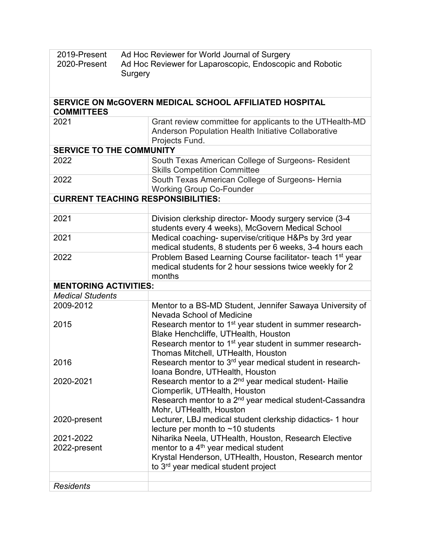| 2019-Present<br>Ad Hoc Reviewer for World Journal of Surgery |                                                                       |  |
|--------------------------------------------------------------|-----------------------------------------------------------------------|--|
| 2020-Present                                                 | Ad Hoc Reviewer for Laparoscopic, Endoscopic and Robotic              |  |
| Surgery                                                      |                                                                       |  |
|                                                              |                                                                       |  |
|                                                              |                                                                       |  |
|                                                              | SERVICE ON McGOVERN MEDICAL SCHOOL AFFILIATED HOSPITAL                |  |
| <b>COMMITTEES</b>                                            |                                                                       |  |
| 2021                                                         | Grant review committee for applicants to the UTHealth-MD              |  |
|                                                              | Anderson Population Health Initiative Collaborative                   |  |
|                                                              | Projects Fund.                                                        |  |
| <b>SERVICE TO THE COMMUNITY</b>                              |                                                                       |  |
| 2022                                                         | South Texas American College of Surgeons- Resident                    |  |
|                                                              | <b>Skills Competition Committee</b>                                   |  |
| 2022                                                         | South Texas American College of Surgeons- Hernia                      |  |
|                                                              | <b>Working Group Co-Founder</b>                                       |  |
| <b>CURRENT TEACHING RESPONSIBILITIES:</b>                    |                                                                       |  |
|                                                              |                                                                       |  |
| 2021                                                         | Division clerkship director- Moody surgery service (3-4               |  |
|                                                              | students every 4 weeks), McGovern Medical School                      |  |
| 2021                                                         | Medical coaching- supervise/critique H&Ps by 3rd year                 |  |
|                                                              | medical students, 8 students per 6 weeks, 3-4 hours each              |  |
| 2022                                                         | Problem Based Learning Course facilitator- teach 1 <sup>st</sup> year |  |
|                                                              | medical students for 2 hour sessions twice weekly for 2               |  |
|                                                              | months                                                                |  |
| <b>MENTORING ACTIVITIES:</b>                                 |                                                                       |  |
| <b>Medical Students</b>                                      |                                                                       |  |
| 2009-2012                                                    | Mentor to a BS-MD Student, Jennifer Sawaya University of              |  |
|                                                              | Nevada School of Medicine                                             |  |
| 2015                                                         | Research mentor to 1 <sup>st</sup> year student in summer research-   |  |
|                                                              | Blake Henchcliffe, UTHealth, Houston                                  |  |
|                                                              | Research mentor to 1 <sup>st</sup> year student in summer research-   |  |
|                                                              | Thomas Mitchell, UTHealth, Houston                                    |  |
| 2016                                                         | Research mentor to 3 <sup>rd</sup> year medical student in research-  |  |
|                                                              | Ioana Bondre, UTHealth, Houston                                       |  |
| 2020-2021                                                    | Research mentor to a 2 <sup>nd</sup> year medical student- Hailie     |  |
|                                                              | Ciomperlik, UTHealth, Houston                                         |  |
|                                                              | Research mentor to a 2 <sup>nd</sup> year medical student-Cassandra   |  |
|                                                              | Mohr, UTHealth, Houston                                               |  |
| 2020-present                                                 | Lecturer, LBJ medical student clerkship didactics- 1 hour             |  |
|                                                              | lecture per month to $~10$ students                                   |  |
| 2021-2022                                                    | Niharika Neela, UTHealth, Houston, Research Elective                  |  |
| 2022-present                                                 | mentor to a 4 <sup>th</sup> year medical student                      |  |
|                                                              | Krystal Henderson, UTHealth, Houston, Research mentor                 |  |
|                                                              | to 3 <sup>rd</sup> year medical student project                       |  |
|                                                              |                                                                       |  |
| <b>Residents</b>                                             |                                                                       |  |
|                                                              |                                                                       |  |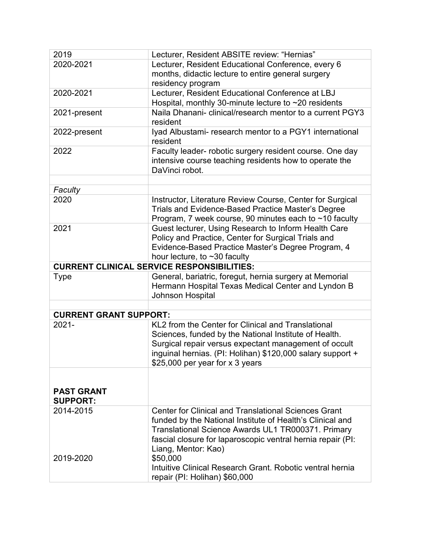| 2019                                              | Lecturer, Resident ABSITE review: "Hernias"                 |  |
|---------------------------------------------------|-------------------------------------------------------------|--|
| 2020-2021                                         | Lecturer, Resident Educational Conference, every 6          |  |
|                                                   | months, didactic lecture to entire general surgery          |  |
|                                                   | residency program                                           |  |
| 2020-2021                                         | Lecturer, Resident Educational Conference at LBJ            |  |
|                                                   | Hospital, monthly 30-minute lecture to $\sim$ 20 residents  |  |
| 2021-present                                      | Naila Dhanani- clinical/research mentor to a current PGY3   |  |
|                                                   | resident                                                    |  |
| 2022-present                                      | Iyad Albustami- research mentor to a PGY1 international     |  |
|                                                   | resident                                                    |  |
| 2022                                              | Faculty leader- robotic surgery resident course. One day    |  |
|                                                   | intensive course teaching residents how to operate the      |  |
|                                                   | DaVinci robot.                                              |  |
|                                                   |                                                             |  |
| Faculty                                           |                                                             |  |
| 2020                                              | Instructor, Literature Review Course, Center for Surgical   |  |
|                                                   | Trials and Evidence-Based Practice Master's Degree          |  |
|                                                   | Program, 7 week course, 90 minutes each to ~10 faculty      |  |
| 2021                                              | Guest lecturer, Using Research to Inform Health Care        |  |
|                                                   | Policy and Practice, Center for Surgical Trials and         |  |
|                                                   | Evidence-Based Practice Master's Degree Program, 4          |  |
|                                                   | hour lecture, to $\sim$ 30 faculty                          |  |
| <b>CURRENT CLINICAL SERVICE RESPONSIBILITIES:</b> |                                                             |  |
| <b>Type</b>                                       | General, bariatric, foregut, hernia surgery at Memorial     |  |
|                                                   | Hermann Hospital Texas Medical Center and Lyndon B          |  |
|                                                   | Johnson Hospital                                            |  |
| <b>CURRENT GRANT SUPPORT:</b>                     |                                                             |  |
| $2021 -$                                          | KL2 from the Center for Clinical and Translational          |  |
|                                                   | Sciences, funded by the National Institute of Health.       |  |
|                                                   | Surgical repair versus expectant management of occult       |  |
|                                                   | inguinal hernias. (PI: Holihan) \$120,000 salary support +  |  |
|                                                   | \$25,000 per year for x 3 years                             |  |
|                                                   |                                                             |  |
|                                                   |                                                             |  |
| <b>PAST GRANT</b>                                 |                                                             |  |
| <b>SUPPORT:</b>                                   |                                                             |  |
| 2014-2015                                         | <b>Center for Clinical and Translational Sciences Grant</b> |  |
|                                                   | funded by the National Institute of Health's Clinical and   |  |
|                                                   | Translational Science Awards UL1 TR000371. Primary          |  |
|                                                   | fascial closure for laparoscopic ventral hernia repair (PI: |  |
|                                                   | Liang, Mentor: Kao)                                         |  |
| 2019-2020                                         | \$50,000                                                    |  |
|                                                   | Intuitive Clinical Research Grant. Robotic ventral hernia   |  |
|                                                   | repair (PI: Holihan) \$60,000                               |  |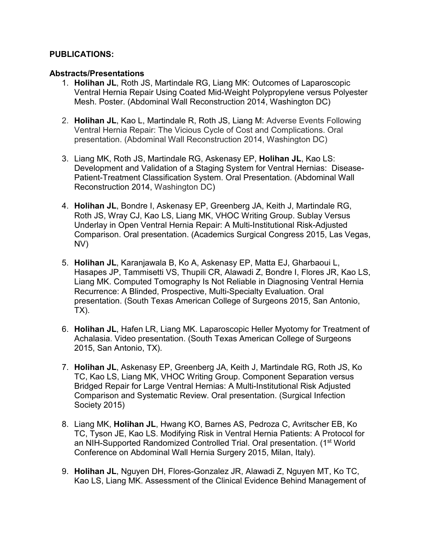## **PUBLICATIONS:**

### **Abstracts/Presentations**

- 1. **Holihan JL**, Roth JS, Martindale RG, Liang MK: Outcomes of Laparoscopic Ventral Hernia Repair Using Coated Mid-Weight Polypropylene versus Polyester Mesh. Poster. (Abdominal Wall Reconstruction 2014, Washington DC)
- 2. **Holihan JL**, Kao L, Martindale R, Roth JS, Liang M: Adverse Events Following Ventral Hernia Repair: The Vicious Cycle of Cost and Complications. Oral presentation. (Abdominal Wall Reconstruction 2014, Washington DC)
- 3. Liang MK, Roth JS, Martindale RG, Askenasy EP, **Holihan JL**, Kao LS: Development and Validation of a Staging System for Ventral Hernias: Disease-Patient-Treatment Classification System. Oral Presentation. (Abdominal Wall Reconstruction 2014, Washington DC)
- 4. **Holihan JL**, Bondre I, Askenasy EP, Greenberg JA, Keith J, Martindale RG, Roth JS, Wray CJ, Kao LS, Liang MK, VHOC Writing Group. Sublay Versus Underlay in Open Ventral Hernia Repair: A Multi-Institutional Risk-Adjusted Comparison. Oral presentation. (Academics Surgical Congress 2015, Las Vegas, NV)
- 5. **Holihan JL**, Karanjawala B, Ko A, Askenasy EP, Matta EJ, Gharbaoui L, Hasapes JP, Tammisetti VS, Thupili CR, Alawadi Z, Bondre I, Flores JR, Kao LS, Liang MK. Computed Tomography Is Not Reliable in Diagnosing Ventral Hernia Recurrence: A Blinded, Prospective, Multi-Specialty Evaluation. Oral presentation. (South Texas American College of Surgeons 2015, San Antonio, TX).
- 6. **Holihan JL**, Hafen LR, Liang MK. Laparoscopic Heller Myotomy for Treatment of Achalasia. Video presentation. (South Texas American College of Surgeons 2015, San Antonio, TX).
- 7. **Holihan JL**, Askenasy EP, Greenberg JA, Keith J, Martindale RG, Roth JS, Ko TC, Kao LS, Liang MK, VHOC Writing Group. Component Separation versus Bridged Repair for Large Ventral Hernias: A Multi-Institutional Risk Adjusted Comparison and Systematic Review. Oral presentation. (Surgical Infection Society 2015)
- 8. Liang MK, **Holihan JL**, Hwang KO, Barnes AS, Pedroza C, Avritscher EB, Ko TC, Tyson JE, Kao LS. Modifying Risk in Ventral Hernia Patients: A Protocol for an NIH-Supported Randomized Controlled Trial. Oral presentation. (1<sup>st</sup> World Conference on Abdominal Wall Hernia Surgery 2015, Milan, Italy).
- 9. **Holihan JL**, Nguyen DH, Flores-Gonzalez JR, Alawadi Z, Nguyen MT, Ko TC, Kao LS, Liang MK. Assessment of the Clinical Evidence Behind Management of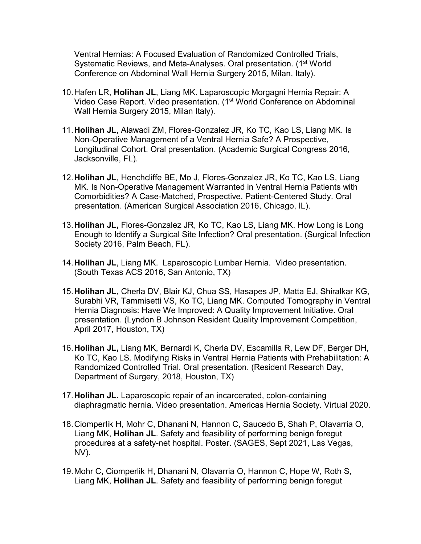Ventral Hernias: A Focused Evaluation of Randomized Controlled Trials, Systematic Reviews, and Meta-Analyses. Oral presentation. (1<sup>st</sup> World Conference on Abdominal Wall Hernia Surgery 2015, Milan, Italy).

- 10.Hafen LR, **Holihan JL**, Liang MK. Laparoscopic Morgagni Hernia Repair: A Video Case Report. Video presentation. (1<sup>st</sup> World Conference on Abdominal Wall Hernia Surgery 2015, Milan Italy).
- 11.**Holihan JL**, Alawadi ZM, Flores-Gonzalez JR, Ko TC, Kao LS, Liang MK. Is Non-Operative Management of a Ventral Hernia Safe? A Prospective, Longitudinal Cohort. Oral presentation. (Academic Surgical Congress 2016, Jacksonville, FL).
- 12.**Holihan JL**, Henchcliffe BE, Mo J, Flores-Gonzalez JR, Ko TC, Kao LS, Liang MK. Is Non-Operative Management Warranted in Ventral Hernia Patients with Comorbidities? A Case-Matched, Prospective, Patient-Centered Study. Oral presentation. (American Surgical Association 2016, Chicago, IL).
- 13.**Holihan JL,** Flores-Gonzalez JR, Ko TC, Kao LS, Liang MK. How Long is Long Enough to Identify a Surgical Site Infection? Oral presentation. (Surgical Infection Society 2016, Palm Beach, FL).
- 14.**Holihan JL**, Liang MK. Laparoscopic Lumbar Hernia. Video presentation. (South Texas ACS 2016, San Antonio, TX)
- 15.**Holihan JL**, Cherla DV, Blair KJ, Chua SS, Hasapes JP, Matta EJ, Shiralkar KG, Surabhi VR, Tammisetti VS, Ko TC, Liang MK. Computed Tomography in Ventral Hernia Diagnosis: Have We Improved: A Quality Improvement Initiative. Oral presentation. (Lyndon B Johnson Resident Quality Improvement Competition, April 2017, Houston, TX)
- 16.**Holihan JL,** Liang MK, Bernardi K, Cherla DV, Escamilla R, Lew DF, Berger DH, Ko TC, Kao LS. Modifying Risks in Ventral Hernia Patients with Prehabilitation: A Randomized Controlled Trial. Oral presentation. (Resident Research Day, Department of Surgery, 2018, Houston, TX)
- 17.**Holihan JL.** Laparoscopic repair of an incarcerated, colon-containing diaphragmatic hernia. Video presentation. Americas Hernia Society. Virtual 2020.
- 18.Ciomperlik H, Mohr C, Dhanani N, Hannon C, Saucedo B, Shah P, Olavarria O, Liang MK, **Holihan JL**. Safety and feasibility of performing benign foregut procedures at a safety-net hospital. Poster. (SAGES, Sept 2021, Las Vegas, NV).
- 19.Mohr C, Ciomperlik H, Dhanani N, Olavarria O, Hannon C, Hope W, Roth S, Liang MK, **Holihan JL**. Safety and feasibility of performing benign foregut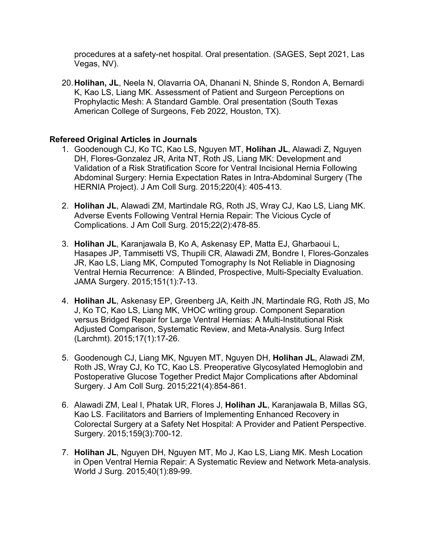procedures at a safety-net hospital. Oral presentation. (SAGES, Sept 2021, Las Vegas, NV).

20.**Holihan, JL**, Neela N, Olavarria OA, Dhanani N, Shinde S, Rondon A, Bernardi K, Kao LS, Liang MK. Assessment of Patient and Surgeon Perceptions on Prophylactic Mesh: A Standard Gamble. Oral presentation (South Texas American College of Surgeons, Feb 2022, Houston, TX).

## **Refereed Original Articles in Journals**

- 1. Goodenough CJ, Ko TC, Kao LS, Nguyen MT, **Holihan JL**, Alawadi Z, Nguyen DH, Flores-Gonzalez JR, Arita NT, Roth JS, Liang MK: Development and Validation of a Risk Stratification Score for Ventral Incisional Hernia Following Abdominal Surgery: Hernia Expectation Rates in Intra-Abdominal Surgery (The HERNIA Project). J Am Coll Surg. 2015;220(4): 405-413.
- 2. **Holihan JL**, Alawadi ZM, Martindale RG, Roth JS, Wray CJ, Kao LS, Liang MK. Adverse Events Following Ventral Hernia Repair: The Vicious Cycle of Complications. J Am Coll Surg. 2015;22(2):478-85.
- 3. **Holihan JL**, Karanjawala B, Ko A, Askenasy EP, Matta EJ, Gharbaoui L, Hasapes JP, Tammisetti VS, Thupili CR, Alawadi ZM, Bondre I, Flores-Gonzales JR, Kao LS, Liang MK, Computed Tomography Is Not Reliable in Diagnosing Ventral Hernia Recurrence: A Blinded, Prospective, Multi-Specialty Evaluation. JAMA Surgery. 2015;151(1):7-13.
- 4. **Holihan JL**, Askenasy EP, Greenberg JA, Keith JN, Martindale RG, Roth JS, Mo J, Ko TC, Kao LS, Liang MK, VHOC writing group. Component Separation versus Bridged Repair for Large Ventral Hernias: A Multi-Institutional Risk Adjusted Comparison, Systematic Review, and Meta-Analysis. Surg Infect (Larchmt). 2015;17(1):17-26.
- 5. Goodenough CJ, Liang MK, Nguyen MT, Nguyen DH, **Holihan JL**, Alawadi ZM, Roth JS, Wray CJ, Ko TC, Kao LS. Preoperative Glycosylated Hemoglobin and Postoperative Glucose Together Predict Major Complications after Abdominal Surgery. J Am Coll Surg. 2015;221(4):854-861.
- 6. Alawadi ZM, Leal I, Phatak UR, Flores J, **Holihan JL**, Karanjawala B, Millas SG, Kao LS. Facilitators and Barriers of Implementing Enhanced Recovery in Colorectal Surgery at a Safety Net Hospital: A Provider and Patient Perspective. Surgery. 2015;159(3):700-12.
- 7. **Holihan JL**, Nguyen DH, Nguyen MT, Mo J, Kao LS, Liang MK. Mesh Location in Open Ventral Hernia Repair: A Systematic Review and Network Meta-analysis. World J Surg. 2015;40(1):89-99.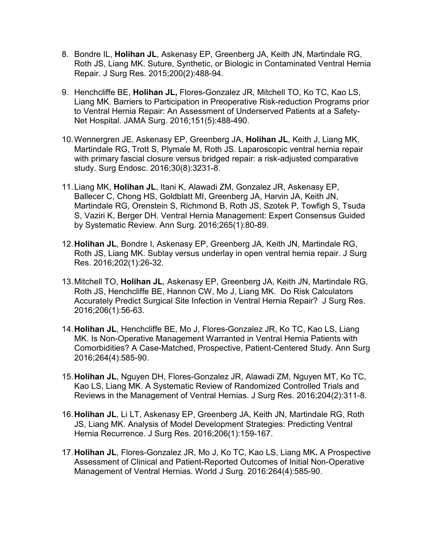- 8. Bondre IL, **Holihan JL**, Askenasy EP, Greenberg JA, Keith JN, Martindale RG, Roth JS, Liang MK. Suture, Synthetic, or Biologic in Contaminated Ventral Hernia Repair. J Surg Res. 2015;200(2):488-94.
- 9. Henchcliffe BE, **Holihan JL,** Flores-Gonzalez JR, Mitchell TO, Ko TC, Kao LS, Liang MK. Barriers to Participation in Preoperative Risk-reduction Programs prior to Ventral Hernia Repair: An Assessment of Underserved Patients at a Safety-Net Hospital. JAMA Surg. 2016;151(5):488-490.
- 10.Wennergren JE, Askenasy EP, Greenberg JA, **Holihan JL**, Keith J, Liang MK, Martindale RG, Trott S, Plymale M, Roth JS. Laparoscopic ventral hernia repair with primary fascial closure versus bridged repair: a risk-adjusted comparative study. Surg Endosc. 2016;30(8):3231-8.
- 11.Liang MK, **Holihan JL**, Itani K, Alawadi ZM, Gonzalez JR, Askenasy EP, Ballecer C, Chong HS, Goldblatt MI, Greenberg JA, Harvin JA, Keith JN, Martindale RG, Orenstein S, Richmond B, Roth JS, Szotek P, Towfigh S, Tsuda S, Vaziri K, Berger DH. Ventral Hernia Management: Expert Consensus Guided by Systematic Review. Ann Surg. 2016;265(1):80-89.
- 12.**Holihan JL**, Bondre I, Askenasy EP, Greenberg JA, Keith JN, Martindale RG, Roth JS, Liang MK. Sublay versus underlay in open ventral hernia repair. J Surg Res. 2016;202(1):26-32.
- 13.Mitchell TO, **Holihan JL**, Askenasy EP, Greenberg JA, Keith JN, Martindale RG, Roth JS, Henchcliffe BE, Hannon CW, Mo J, Liang MK. Do Risk Calculators Accurately Predict Surgical Site Infection in Ventral Hernia Repair? J Surg Res. 2016;206(1):56-63.
- 14.**Holihan JL**, Henchcliffe BE, Mo J, Flores-Gonzalez JR, Ko TC, Kao LS, Liang MK. Is Non-Operative Management Warranted in Ventral Hernia Patients with Comorbidities? A Case-Matched, Prospective, Patient-Centered Study. Ann Surg 2016;264(4):585-90.
- 15.**Holihan JL**, Nguyen DH, Flores-Gonzalez JR, Alawadi ZM, Nguyen MT, Ko TC, Kao LS, Liang MK. A Systematic Review of Randomized Controlled Trials and Reviews in the Management of Ventral Hernias. J Surg Res. 2016;204(2):311-8.
- 16.**Holihan JL**, Li LT, Askenasy EP, Greenberg JA, Keith JN, Martindale RG, Roth JS, Liang MK. Analysis of Model Development Strategies: Predicting Ventral Hernia Recurrence. J Surg Res. 2016;206(1):159-167.
- 17.**Holihan JL**, Flores-Gonzalez JR, Mo J, Ko TC, Kao LS, Liang MK**.** A Prospective Assessment of Clinical and Patient-Reported Outcomes of Initial Non-Operative Management of Ventral Hernias. World J Surg. 2016:264(4):585-90.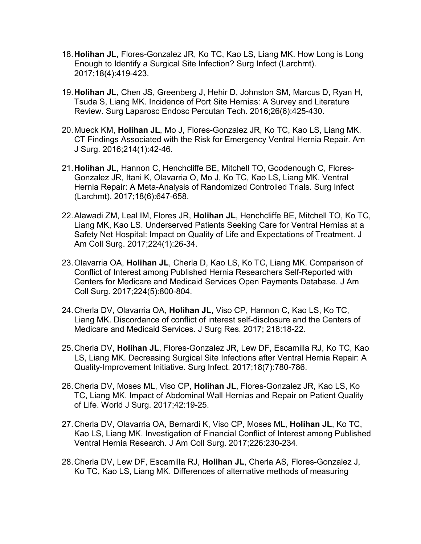- 18.**Holihan JL,** Flores-Gonzalez JR, Ko TC, Kao LS, Liang MK. How Long is Long Enough to Identify a Surgical Site Infection? Surg Infect (Larchmt). 2017;18(4):419-423.
- 19.**Holihan JL**, Chen JS, Greenberg J, Hehir D, Johnston SM, Marcus D, Ryan H, Tsuda S, Liang MK. Incidence of Port Site Hernias: A Survey and Literature Review. Surg Laparosc Endosc Percutan Tech. 2016;26(6):425-430.
- 20.Mueck KM, **Holihan JL**, Mo J, Flores-Gonzalez JR, Ko TC, Kao LS, Liang MK. CT Findings Associated with the Risk for Emergency Ventral Hernia Repair. Am J Surg. 2016;214(1):42-46.
- 21.**Holihan JL**, Hannon C, Henchcliffe BE, Mitchell TO, Goodenough C, Flores-Gonzalez JR, Itani K, Olavarria O, Mo J, Ko TC, Kao LS, Liang MK. Ventral Hernia Repair: A Meta-Analysis of Randomized Controlled Trials. Surg Infect (Larchmt). 2017;18(6):647-658.
- 22.Alawadi ZM, Leal IM, Flores JR, **Holihan JL**, Henchcliffe BE, Mitchell TO, Ko TC, Liang MK, Kao LS. Underserved Patients Seeking Care for Ventral Hernias at a Safety Net Hospital: Impact on Quality of Life and Expectations of Treatment. J Am Coll Surg. 2017;224(1):26-34.
- 23.Olavarria OA, **Holihan JL**, Cherla D, Kao LS, Ko TC, Liang MK. Comparison of Conflict of Interest among Published Hernia Researchers Self-Reported with Centers for Medicare and Medicaid Services Open Payments Database. J Am Coll Surg. 2017;224(5):800-804.
- 24.Cherla DV, Olavarria OA, **Holihan JL,** Viso CP, Hannon C, Kao LS, Ko TC, Liang MK. Discordance of conflict of interest self-disclosure and the Centers of Medicare and Medicaid Services. J Surg Res. 2017; 218:18-22.
- 25.Cherla DV, **Holihan JL**, Flores-Gonzalez JR, Lew DF, Escamilla RJ, Ko TC, Kao LS, Liang MK. Decreasing Surgical Site Infections after Ventral Hernia Repair: A Quality-Improvement Initiative. Surg Infect. 2017;18(7):780-786.
- 26.Cherla DV, Moses ML, Viso CP, **Holihan JL**, Flores-Gonzalez JR, Kao LS, Ko TC, Liang MK. Impact of Abdominal Wall Hernias and Repair on Patient Quality of Life. World J Surg. 2017;42:19-25.
- 27.Cherla DV, Olavarria OA, Bernardi K, Viso CP, Moses ML, **Holihan JL**, Ko TC, Kao LS, Liang MK. Investigation of Financial Conflict of Interest among Published Ventral Hernia Research. J Am Coll Surg. 2017;226:230-234.
- 28.Cherla DV, Lew DF, Escamilla RJ, **Holihan JL**, Cherla AS, Flores-Gonzalez J, Ko TC, Kao LS, Liang MK. Differences of alternative methods of measuring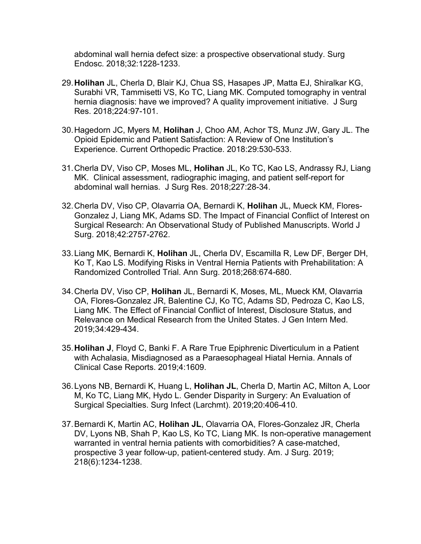abdominal wall hernia defect size: a prospective observational study. Surg Endosc. 2018;32:1228-1233.

- 29.**Holihan** JL, Cherla D, Blair KJ, Chua SS, Hasapes JP, Matta EJ, Shiralkar KG, Surabhi VR, Tammisetti VS, Ko TC, Liang MK. Computed tomography in ventral hernia diagnosis: have we improved? A quality improvement initiative. J Surg Res. 2018;224:97-101.
- 30.Hagedorn JC, Myers M, **Holihan** J, Choo AM, Achor TS, Munz JW, Gary JL. The Opioid Epidemic and Patient Satisfaction: A Review of One Institution's Experience. Current Orthopedic Practice. 2018:29:530-533.
- 31.Cherla DV, Viso CP, Moses ML, **Holihan** JL, Ko TC, Kao LS, Andrassy RJ, Liang MK. Clinical assessment, radiographic imaging, and patient self-report for abdominal wall hernias. J Surg Res. 2018;227:28-34.
- 32.Cherla DV, Viso CP, Olavarria OA, Bernardi K, **Holihan** JL, Mueck KM, Flores-Gonzalez J, Liang MK, Adams SD. The Impact of Financial Conflict of Interest on Surgical Research: An Observational Study of Published Manuscripts. World J Surg. 2018;42:2757-2762.
- 33.Liang MK, Bernardi K, **Holihan** JL, Cherla DV, Escamilla R, Lew DF, Berger DH, Ko T, Kao LS. Modifying Risks in Ventral Hernia Patients with Prehabilitation: A Randomized Controlled Trial. Ann Surg. 2018;268:674-680.
- 34.Cherla DV, Viso CP, **Holihan** JL, Bernardi K, Moses, ML, Mueck KM, Olavarria OA, Flores-Gonzalez JR, Balentine CJ, Ko TC, Adams SD, Pedroza C, Kao LS, Liang MK. The Effect of Financial Conflict of Interest, Disclosure Status, and Relevance on Medical Research from the United States. J Gen Intern Med. 2019;34:429-434.
- 35.**Holihan J**, Floyd C, Banki F. A Rare True Epiphrenic Diverticulum in a Patient with Achalasia, Misdiagnosed as a Paraesophageal Hiatal Hernia. Annals of Clinical Case Reports. 2019;4:1609.
- 36.Lyons NB, Bernardi K, Huang L, **Holihan JL**, Cherla D, Martin AC, Milton A, Loor M, Ko TC, Liang MK, Hydo L. Gender Disparity in Surgery: An Evaluation of Surgical Specialties. Surg Infect (Larchmt). 2019;20:406-410.
- 37.Bernardi K, Martin AC, **Holihan JL**, Olavarria OA, Flores-Gonzalez JR, Cherla DV, Lyons NB, Shah P, Kao LS, Ko TC, Liang MK. Is non-operative management warranted in ventral hernia patients with comorbidities? A case-matched, prospective 3 year follow-up, patient-centered study. Am. J Surg. 2019; 218(6):1234-1238.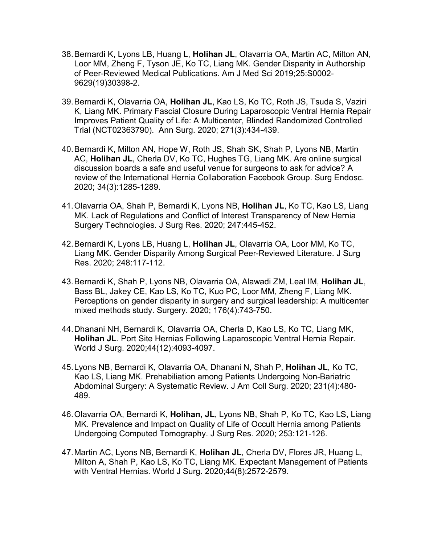- 38.Bernardi K, Lyons LB, Huang L, **Holihan JL**, Olavarria OA, Martin AC, Milton AN, Loor MM, Zheng F, Tyson JE, Ko TC, Liang MK. Gender Disparity in Authorship of Peer-Reviewed Medical Publications. Am J Med Sci 2019;25:S0002- 9629(19)30398-2.
- 39.Bernardi K, Olavarria OA, **Holihan JL**, Kao LS, Ko TC, Roth JS, Tsuda S, Vaziri K, Liang MK. Primary Fascial Closure During Laparoscopic Ventral Hernia Repair Improves Patient Quality of Life: A Multicenter, Blinded Randomized Controlled Trial (NCT02363790). Ann Surg. 2020; 271(3):434-439.
- 40.Bernardi K, Milton AN, Hope W, Roth JS, Shah SK, Shah P, Lyons NB, Martin AC, **Holihan JL**, Cherla DV, Ko TC, Hughes TG, Liang MK. Are online surgical discussion boards a safe and useful venue for surgeons to ask for advice? A review of the International Hernia Collaboration Facebook Group. Surg Endosc. 2020; 34(3):1285-1289.
- 41.Olavarria OA, Shah P, Bernardi K, Lyons NB, **Holihan JL**, Ko TC, Kao LS, Liang MK. Lack of Regulations and Conflict of Interest Transparency of New Hernia Surgery Technologies. J Surg Res. 2020; 247:445-452.
- 42.Bernardi K, Lyons LB, Huang L, **Holihan JL**, Olavarria OA, Loor MM, Ko TC, Liang MK. Gender Disparity Among Surgical Peer-Reviewed Literature. J Surg Res. 2020; 248:117-112.
- 43.Bernardi K, Shah P, Lyons NB, Olavarria OA, Alawadi ZM, Leal IM, **Holihan JL**, Bass BL, Jakey CE, Kao LS, Ko TC, Kuo PC, Loor MM, Zheng F, Liang MK. Perceptions on gender disparity in surgery and surgical leadership: A multicenter mixed methods study. Surgery. 2020; 176(4):743-750.
- 44.Dhanani NH, Bernardi K, Olavarria OA, Cherla D, Kao LS, Ko TC, Liang MK, **Holihan JL**. Port Site Hernias Following Laparoscopic Ventral Hernia Repair. World J Surg. 2020;44(12):4093-4097.
- 45.Lyons NB, Bernardi K, Olavarria OA, Dhanani N, Shah P, **Holihan JL**, Ko TC, Kao LS, Liang MK. Prehabiliation among Patients Undergoing Non-Bariatric Abdominal Surgery: A Systematic Review. J Am Coll Surg. 2020; 231(4):480- 489.
- 46.Olavarria OA, Bernardi K, **Holihan, JL**, Lyons NB, Shah P, Ko TC, Kao LS, Liang MK. Prevalence and Impact on Quality of Life of Occult Hernia among Patients Undergoing Computed Tomography. J Surg Res. 2020; 253:121-126.
- 47.Martin AC, Lyons NB, Bernardi K, **Holihan JL**, Cherla DV, Flores JR, Huang L, Milton A, Shah P, Kao LS, Ko TC, Liang MK. Expectant Management of Patients with Ventral Hernias. World J Surg. 2020;44(8):2572-2579.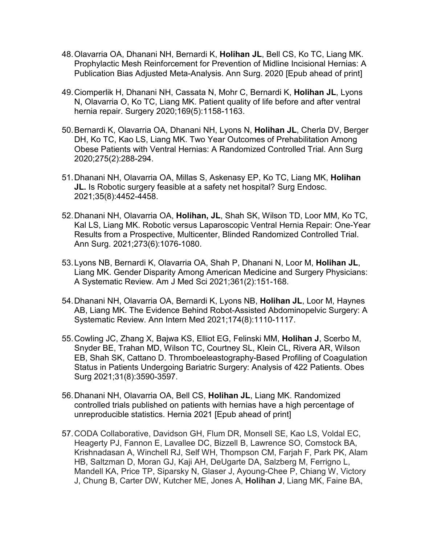- 48.Olavarria OA, Dhanani NH, Bernardi K, **Holihan JL**, Bell CS, Ko TC, Liang MK. Prophylactic Mesh Reinforcement for Prevention of Midline Incisional Hernias: A Publication Bias Adjusted Meta-Analysis. Ann Surg. 2020 [Epub ahead of print]
- 49.Ciomperlik H, Dhanani NH, Cassata N, Mohr C, Bernardi K, **Holihan JL**, Lyons N, Olavarria O, Ko TC, Liang MK. Patient quality of life before and after ventral hernia repair. Surgery 2020;169(5):1158-1163.
- 50.Bernardi K, Olavarria OA, Dhanani NH, Lyons N, **Holihan JL**, Cherla DV, Berger DH, Ko TC, Kao LS, Liang MK. Two Year Outcomes of Prehabilitation Among Obese Patients with Ventral Hernias: A Randomized Controlled Trial. Ann Surg 2020;275(2):288-294.
- 51.Dhanani NH, Olavarria OA, Millas S, Askenasy EP, Ko TC, Liang MK, **Holihan JL.** Is Robotic surgery feasible at a safety net hospital? Surg Endosc. 2021;35(8):4452-4458.
- 52.Dhanani NH, Olavarria OA, **Holihan, JL**, Shah SK, Wilson TD, Loor MM, Ko TC, Kal LS, Liang MK. Robotic versus Laparoscopic Ventral Hernia Repair: One-Year Results from a Prospective, Multicenter, Blinded Randomized Controlled Trial. Ann Surg. 2021;273(6):1076-1080.
- 53.Lyons NB, Bernardi K, Olavarria OA, Shah P, Dhanani N, Loor M, **Holihan JL**, Liang MK. Gender Disparity Among American Medicine and Surgery Physicians: A Systematic Review. Am J Med Sci 2021;361(2):151-168.
- 54.Dhanani NH, Olavarria OA, Bernardi K, Lyons NB, **Holihan JL**, Loor M, Haynes AB, Liang MK. The Evidence Behind Robot-Assisted Abdominopelvic Surgery: A Systematic Review. Ann Intern Med 2021;174(8):1110-1117.
- 55.Cowling JC, Zhang X, Bajwa KS, Elliot EG, Felinski MM, **Holihan J**, Scerbo M, Snyder BE, Trahan MD, Wilson TC, Courtney SL, Klein CL, Rivera AR, Wilson EB, Shah SK, Cattano D. Thromboeleastography-Based Profiling of Coagulation Status in Patients Undergoing Bariatric Surgery: Analysis of 422 Patients. Obes Surg 2021;31(8):3590-3597.
- 56.Dhanani NH, Olavarria OA, Bell CS, **Holihan JL**, Liang MK. Randomized controlled trials published on patients with hernias have a high percentage of unreproducible statistics. Hernia 2021 [Epub ahead of print]
- 57.CODA Collaborative, Davidson GH, Flum DR, Monsell SE, Kao LS, Voldal EC, Heagerty PJ, Fannon E, Lavallee DC, Bizzell B, Lawrence SO, Comstock BA, Krishnadasan A, Winchell RJ, Self WH, Thompson CM, Farjah F, Park PK, Alam HB, Saltzman D, Moran GJ, Kaji AH, DeUgarte DA, Salzberg M, Ferrigno L, Mandell KA, Price TP, Siparsky N, Glaser J, Ayoung-Chee P, Chiang W, Victory J, Chung B, Carter DW, Kutcher ME, Jones A, **Holihan J**, Liang MK, Faine BA,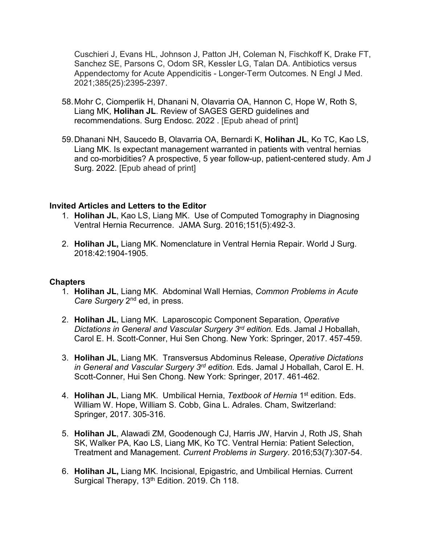Cuschieri J, Evans HL, Johnson J, Patton JH, Coleman N, Fischkoff K, Drake FT, Sanchez SE, Parsons C, Odom SR, Kessler LG, Talan DA. Antibiotics versus Appendectomy for Acute Appendicitis - Longer-Term Outcomes. N Engl J Med. 2021;385(25):2395-2397.

- 58.Mohr C, Ciomperlik H, Dhanani N, Olavarria OA, Hannon C, Hope W, Roth S, Liang MK, **Holihan JL**. Review of SAGES GERD guidelines and recommendations. Surg Endosc. 2022 . [Epub ahead of print]
- 59.Dhanani NH, Saucedo B, Olavarria OA, Bernardi K, **Holihan JL**, Ko TC, Kao LS, Liang MK. Is expectant management warranted in patients with ventral hernias and co-morbidities? A prospective, 5 year follow-up, patient-centered study. Am J Surg. 2022. [Epub ahead of print]

### **Invited Articles and Letters to the Editor**

- 1. **Holihan JL**, Kao LS, Liang MK. Use of Computed Tomography in Diagnosing Ventral Hernia Recurrence. JAMA Surg. 2016;151(5):492-3.
- 2. **Holihan JL,** Liang MK. Nomenclature in Ventral Hernia Repair. World J Surg. 2018:42:1904-1905.

## **Chapters**

- 1. **Holihan JL**, Liang MK. Abdominal Wall Hernias, *Common Problems in Acute Care Surgery* 2nd ed, in press.
- 2. **Holihan JL**, Liang MK. Laparoscopic Component Separation, *Operative Dictations in General and Vascular Surgery 3rd edition.* Eds. Jamal J Hoballah, Carol E. H. Scott-Conner, Hui Sen Chong. New York: Springer, 2017. 457-459.
- 3. **Holihan JL**, Liang MK. Transversus Abdominus Release, *Operative Dictations in General and Vascular Surgery 3rd edition.* Eds. Jamal J Hoballah, Carol E. H. Scott-Conner, Hui Sen Chong. New York: Springer, 2017. 461-462.
- 4. **Holihan JL**, Liang MK. Umbilical Hernia, *Textbook of Hernia* 1st edition. Eds. William W. Hope, William S. Cobb, Gina L. Adrales. Cham, Switzerland: Springer, 2017. 305-316.
- 5. **Holihan JL**, Alawadi ZM, Goodenough CJ, Harris JW, Harvin J, Roth JS, Shah SK, Walker PA, Kao LS, Liang MK, Ko TC. Ventral Hernia: Patient Selection, Treatment and Management. *Current Problems in Surgery*. 2016;53(7):307-54.
- 6. **Holihan JL,** Liang MK. Incisional, Epigastric, and Umbilical Hernias. Current Surgical Therapy, 13<sup>th</sup> Edition. 2019. Ch 118.